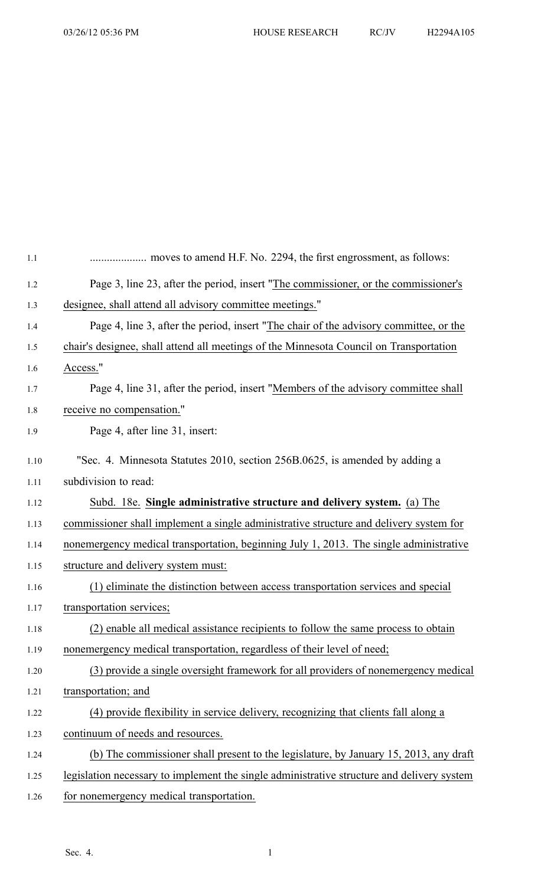| 1.1  |                                                                                            |
|------|--------------------------------------------------------------------------------------------|
| 1.2  | Page 3, line 23, after the period, insert "The commissioner, or the commissioner's         |
| 1.3  | designee, shall attend all advisory committee meetings."                                   |
| 1.4  | Page 4, line 3, after the period, insert "The chair of the advisory committee, or the      |
| 1.5  | chair's designee, shall attend all meetings of the Minnesota Council on Transportation     |
| 1.6  | Access."                                                                                   |
| 1.7  | Page 4, line 31, after the period, insert "Members of the advisory committee shall         |
| 1.8  | receive no compensation."                                                                  |
| 1.9  | Page 4, after line 31, insert:                                                             |
| 1.10 | "Sec. 4. Minnesota Statutes 2010, section 256B.0625, is amended by adding a                |
| 1.11 | subdivision to read:                                                                       |
| 1.12 | Subd. 18e. Single administrative structure and delivery system. (a) The                    |
| 1.13 | commissioner shall implement a single administrative structure and delivery system for     |
| 1.14 | nonemergency medical transportation, beginning July 1, 2013. The single administrative     |
| 1.15 | structure and delivery system must:                                                        |
| 1.16 | (1) eliminate the distinction between access transportation services and special           |
| 1.17 | transportation services;                                                                   |
| 1.18 | (2) enable all medical assistance recipients to follow the same process to obtain          |
| 1.19 | nonemergency medical transportation, regardless of their level of need;                    |
| 1.20 | (3) provide a single oversight framework for all providers of nonemergency medical         |
| 1.21 | transportation; and                                                                        |
| 1.22 | (4) provide flexibility in service delivery, recognizing that clients fall along a         |
| 1.23 | continuum of needs and resources.                                                          |
| 1.24 | (b) The commissioner shall present to the legislature, by January 15, 2013, any draft      |
| 1.25 | legislation necessary to implement the single administrative structure and delivery system |
| 1.26 | for nonemergency medical transportation.                                                   |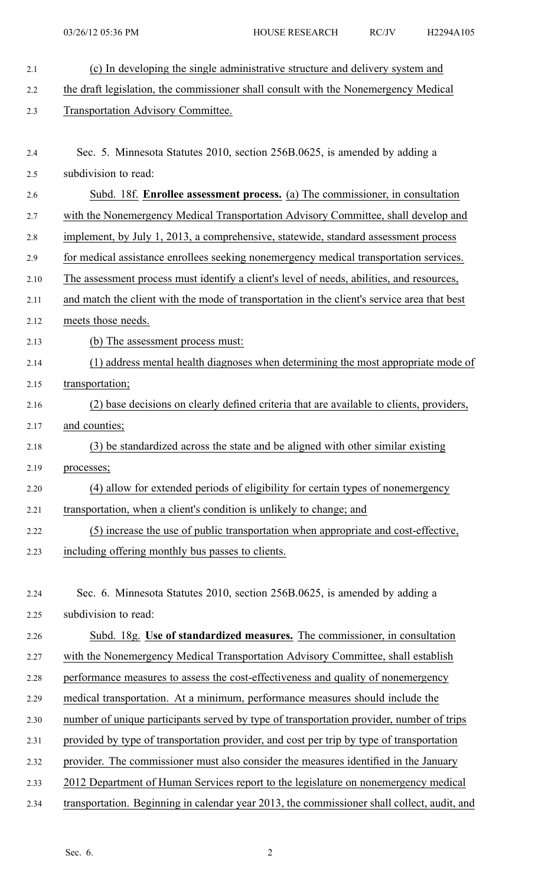| 2.1  | (c) In developing the single administrative structure and delivery system and               |
|------|---------------------------------------------------------------------------------------------|
| 2.2  | the draft legislation, the commissioner shall consult with the Nonemergency Medical         |
| 2.3  | <b>Transportation Advisory Committee.</b>                                                   |
|      |                                                                                             |
| 2.4  | Sec. 5. Minnesota Statutes 2010, section 256B.0625, is amended by adding a                  |
| 2.5  | subdivision to read:                                                                        |
| 2.6  | Subd. 18f. <b>Enrollee assessment process.</b> (a) The commissioner, in consultation        |
| 2.7  | with the Nonemergency Medical Transportation Advisory Committee, shall develop and          |
| 2.8  | implement, by July 1, 2013, a comprehensive, statewide, standard assessment process         |
| 2.9  | for medical assistance enrollees seeking nonemergency medical transportation services.      |
| 2.10 | The assessment process must identify a client's level of needs, abilities, and resources,   |
| 2.11 | and match the client with the mode of transportation in the client's service area that best |
| 2.12 | meets those needs.                                                                          |
| 2.13 | (b) The assessment process must:                                                            |
| 2.14 | (1) address mental health diagnoses when determining the most appropriate mode of           |
| 2.15 | transportation;                                                                             |
| 2.16 | (2) base decisions on clearly defined criteria that are available to clients, providers,    |
| 2.17 | and counties;                                                                               |
| 2.18 | (3) be standardized across the state and be aligned with other similar existing             |
| 2.19 | processes;                                                                                  |
| 2.20 | (4) allow for extended periods of eligibility for certain types of nonemergency             |
| 2.21 | transportation, when a client's condition is unlikely to change; and                        |
| 2.22 | (5) increase the use of public transportation when appropriate and cost-effective,          |
| 2.23 | including offering monthly bus passes to clients.                                           |
|      |                                                                                             |
| 2.24 | Sec. 6. Minnesota Statutes 2010, section 256B.0625, is amended by adding a                  |
| 2.25 | subdivision to read:                                                                        |
| 2.26 | Subd. 18g. Use of standardized measures. The commissioner, in consultation                  |
| 2.27 | with the Nonemergency Medical Transportation Advisory Committee, shall establish            |
| 2.28 | performance measures to assess the cost-effectiveness and quality of nonemergency           |
| 2.29 | medical transportation. At a minimum, performance measures should include the               |
| 2.30 | number of unique participants served by type of transportation provider, number of trips    |
| 2.31 | provided by type of transportation provider, and cost per trip by type of transportation    |
| 2.32 | provider. The commissioner must also consider the measures identified in the January        |
| 2.33 | 2012 Department of Human Services report to the legislature on nonemergency medical         |
| 2.34 | transportation. Beginning in calendar year 2013, the commissioner shall collect, audit, and |